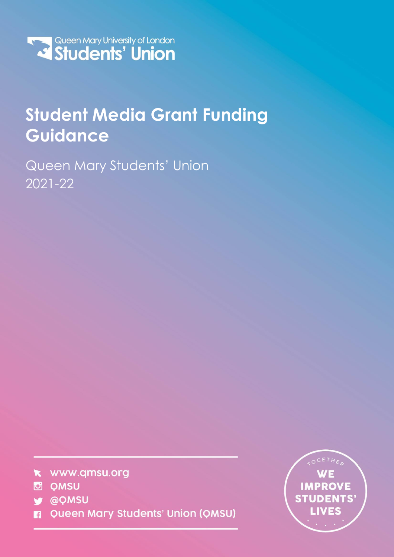

# **Student Media Grant Funding Guidance**

Queen Mary Students' Union 2021-22



- **D** QMSU
- **y** @QMSU
- Queen Mary Students' Union (QMSU) П

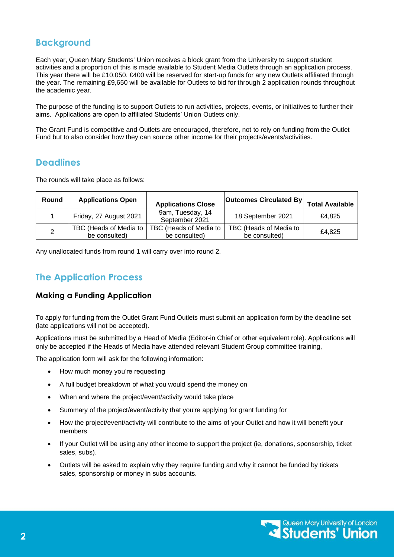# **Background**

Each year, Queen Mary Students' Union receives a block grant from the University to support student activities and a proportion of this is made available to Student Media Outlets through an application process. This year there will be £10,050. £400 will be reserved for start-up funds for any new Outlets affiliated through the year. The remaining £9,650 will be available for Outlets to bid for through 2 application rounds throughout the academic year.

The purpose of the funding is to support Outlets to run activities, projects, events, or initiatives to further their aims. Applications are open to affiliated Students' Union Outlets only.

The Grant Fund is competitive and Outlets are encouraged, therefore, not to rely on funding from the Outlet Fund but to also consider how they can source other income for their projects/events/activities.

## **Deadlines**

The rounds will take place as follows:

| <b>Round</b> | <b>Applications Open</b>                | <b>Applications Close</b>               | <b>Outcomes Circulated By</b>           | <b>Total Available</b> |
|--------------|-----------------------------------------|-----------------------------------------|-----------------------------------------|------------------------|
|              | Friday, 27 August 2021                  | 9am, Tuesday, 14<br>September 2021      | 18 September 2021                       | £4.825                 |
| - 2          | TBC (Heads of Media to<br>be consulted) | TBC (Heads of Media to<br>be consulted) | TBC (Heads of Media to<br>be consulted) | £4.825                 |

Any unallocated funds from round 1 will carry over into round 2.

## **The Application Process**

## **Making a Funding Application**

To apply for funding from the Outlet Grant Fund Outlets must submit an application form by the deadline set (late applications will not be accepted).

Applications must be submitted by a Head of Media (Editor-in Chief or other equivalent role). Applications will only be accepted if the Heads of Media have attended relevant Student Group committee training,

The application form will ask for the following information:

- How much money you're requesting
- A full budget breakdown of what you would spend the money on
- When and where the project/event/activity would take place
- Summary of the project/event/activity that you're applying for grant funding for
- How the project/event/activity will contribute to the aims of your Outlet and how it will benefit your members
- If your Outlet will be using any other income to support the project (ie, donations, sponsorship, ticket sales, subs).
- Outlets will be asked to explain why they require funding and why it cannot be funded by tickets sales, sponsorship or money in subs accounts.

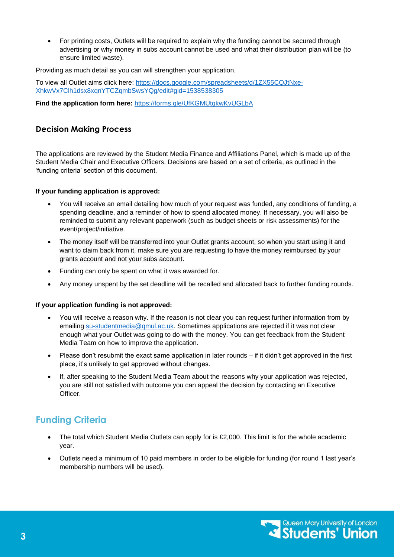• For printing costs, Outlets will be required to explain why the funding cannot be secured through advertising or why money in subs account cannot be used and what their distribution plan will be (to ensure limited waste).

Providing as much detail as you can will strengthen your application.

To view all Outlet aims click here: [https://docs.google.com/spreadsheets/d/1ZX55CQJtNxe-](https://docs.google.com/spreadsheets/d/1ZX55CQJtNxe-XhkwVx7Clh1dsx8xqnYTCZqmbSwsYQg/edit#gid=1538538305)[XhkwVx7Clh1dsx8xqnYTCZqmbSwsYQg/edit#gid=1538538305](https://docs.google.com/spreadsheets/d/1ZX55CQJtNxe-XhkwVx7Clh1dsx8xqnYTCZqmbSwsYQg/edit#gid=1538538305) 

**Find the application form here:** <https://forms.gle/UfKGMUtgkwKvUGLbA>

## **Decision Making Process**

The applications are reviewed by the Student Media Finance and Affiliations Panel, which is made up of the Student Media Chair and Executive Officers. Decisions are based on a set of criteria, as outlined in the 'funding criteria' section of this document.

#### **If your funding application is approved:**

- You will receive an email detailing how much of your request was funded, any conditions of funding, a spending deadline, and a reminder of how to spend allocated money. If necessary, you will also be reminded to submit any relevant paperwork (such as budget sheets or risk assessments) for the event/project/initiative.
- The money itself will be transferred into your Outlet grants account, so when you start using it and want to claim back from it, make sure you are requesting to have the money reimbursed by your grants account and not your subs account.
- Funding can only be spent on what it was awarded for.
- Any money unspent by the set deadline will be recalled and allocated back to further funding rounds.

#### **If your application funding is not approved:**

- You will receive a reason why. If the reason is not clear you can request further information from by emailing [su-studentmedia@qmul.ac.uk.](mailto:su-studentmedia@qmul.ac.uk) Sometimes applications are rejected if it was not clear enough what your Outlet was going to do with the money. You can get feedback from the Student Media Team on how to improve the application.
- Please don't resubmit the exact same application in later rounds if it didn't get approved in the first place, it's unlikely to get approved without changes.
- If, after speaking to the Student Media Team about the reasons why your application was rejected, you are still not satisfied with outcome you can appeal the decision by contacting an Executive Officer.

# **Funding Criteria**

- The total which Student Media Outlets can apply for is  $£2,000$ . This limit is for the whole academic year.
- Outlets need a minimum of 10 paid members in order to be eligible for funding (for round 1 last year's membership numbers will be used).

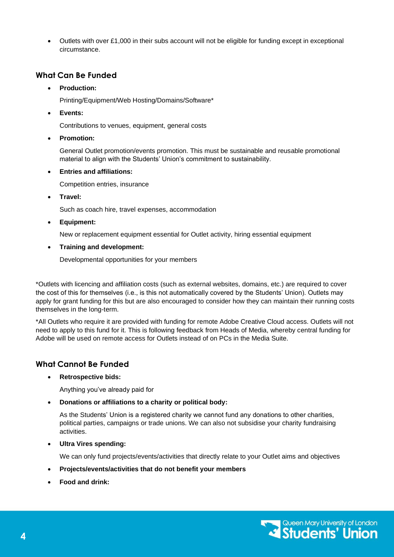• Outlets with over £1,000 in their subs account will not be eligible for funding except in exceptional circumstance.

## **What Can Be Funded**

#### • **Production:**

Printing/Equipment/Web Hosting/Domains/Software\*

• **Events:**

Contributions to venues, equipment, general costs

• **Promotion:** 

General Outlet promotion/events promotion. This must be sustainable and reusable promotional material to align with the Students' Union's commitment to sustainability.

#### • **Entries and affiliations:**

Competition entries, insurance

• **Travel:** 

Such as coach hire, travel expenses, accommodation

• **Equipment:** 

New or replacement equipment essential for Outlet activity, hiring essential equipment

• **Training and development:** 

Developmental opportunities for your members

\*Outlets with licencing and affiliation costs (such as external websites, domains, etc.) are required to cover the cost of this for themselves (i.e., is this not automatically covered by the Students' Union). Outlets may apply for grant funding for this but are also encouraged to consider how they can maintain their running costs themselves in the long-term.

\*All Outlets who require it are provided with funding for remote Adobe Creative Cloud access. Outlets will not need to apply to this fund for it. This is following feedback from Heads of Media, whereby central funding for Adobe will be used on remote access for Outlets instead of on PCs in the Media Suite.

## **What Cannot Be Funded**

• **Retrospective bids:** 

Anything you've already paid for

• **Donations or affiliations to a charity or political body:** 

As the Students' Union is a registered charity we cannot fund any donations to other charities, political parties, campaigns or trade unions. We can also not subsidise your charity fundraising activities.

• **Ultra Vires spending:** 

We can only fund projects/events/activities that directly relate to your Outlet aims and objectives

- **Projects/events/activities that do not benefit your members**
- **Food and drink:**